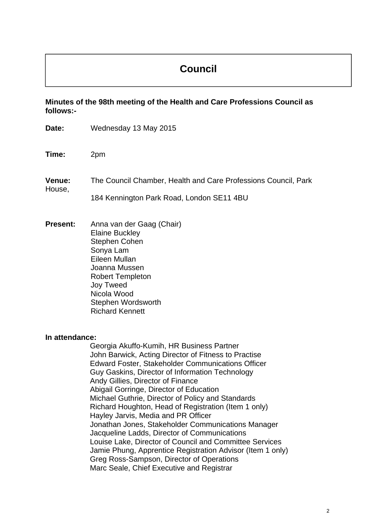# **Council**

**Minutes of the 98th meeting of the Health and Care Professions Council as follows:-** 

| Date:            | Wednesday 13 May 2015                                                                                                                                                                                                                                                                                                                                                                                                                                                                                                                                                                                                                                                                                                            |
|------------------|----------------------------------------------------------------------------------------------------------------------------------------------------------------------------------------------------------------------------------------------------------------------------------------------------------------------------------------------------------------------------------------------------------------------------------------------------------------------------------------------------------------------------------------------------------------------------------------------------------------------------------------------------------------------------------------------------------------------------------|
| Time:            | 2pm                                                                                                                                                                                                                                                                                                                                                                                                                                                                                                                                                                                                                                                                                                                              |
| Venue:<br>House, | The Council Chamber, Health and Care Professions Council, Park<br>184 Kennington Park Road, London SE11 4BU                                                                                                                                                                                                                                                                                                                                                                                                                                                                                                                                                                                                                      |
| <b>Present:</b>  | Anna van der Gaag (Chair)<br><b>Elaine Buckley</b><br><b>Stephen Cohen</b><br>Sonya Lam<br>Eileen Mullan<br>Joanna Mussen<br><b>Robert Templeton</b><br><b>Joy Tweed</b><br>Nicola Wood<br>Stephen Wordsworth<br><b>Richard Kennett</b>                                                                                                                                                                                                                                                                                                                                                                                                                                                                                          |
| In attendance:   | Georgia Akuffo-Kumih, HR Business Partner<br>John Barwick, Acting Director of Fitness to Practise<br><b>Edward Foster, Stakeholder Communications Officer</b><br>Guy Gaskins, Director of Information Technology<br>Andy Gillies, Director of Finance<br>Abigail Gorringe, Director of Education<br>Michael Guthrie, Director of Policy and Standards<br>Richard Houghton, Head of Registration (Item 1 only)<br>Hayley Jarvis, Media and PR Officer<br>Jonathan Jones, Stakeholder Communications Manager<br>Jacqueline Ladds, Director of Communications<br>Louise Lake, Director of Council and Committee Services<br>Jamie Phung, Apprentice Registration Advisor (Item 1 only)<br>Greg Ross-Sampson, Director of Operations |

Marc Seale, Chief Executive and Registrar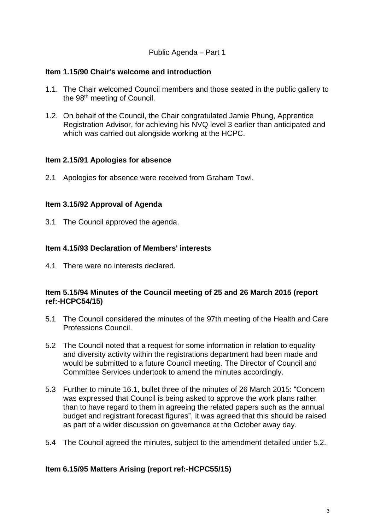### Public Agenda – Part 1

### **Item 1.15/90 Chair**'**s welcome and introduction**

- 1.1. The Chair welcomed Council members and those seated in the public gallery to the 98<sup>th</sup> meeting of Council.
- 1.2. On behalf of the Council, the Chair congratulated Jamie Phung, Apprentice Registration Advisor, for achieving his NVQ level 3 earlier than anticipated and which was carried out alongside working at the HCPC.

### **Item 2.15/91 Apologies for absence**

2.1 Apologies for absence were received from Graham Towl.

# **Item 3.15/92 Approval of Agenda**

3.1 The Council approved the agenda.

# **Item 4.15/93 Declaration of Members**' **interests**

4.1 There were no interests declared.

### **Item 5.15/94 Minutes of the Council meeting of 25 and 26 March 2015 (report ref:-HCPC54/15)**

- 5.1 The Council considered the minutes of the 97th meeting of the Health and Care Professions Council.
- 5.2 The Council noted that a request for some information in relation to equality and diversity activity within the registrations department had been made and would be submitted to a future Council meeting. The Director of Council and Committee Services undertook to amend the minutes accordingly.
- 5.3 Further to minute 16.1, bullet three of the minutes of 26 March 2015: "Concern was expressed that Council is being asked to approve the work plans rather than to have regard to them in agreeing the related papers such as the annual budget and registrant forecast figures", it was agreed that this should be raised as part of a wider discussion on governance at the October away day.
- 5.4 The Council agreed the minutes, subject to the amendment detailed under 5.2.

# **Item 6.15/95 Matters Arising (report ref:-HCPC55/15)**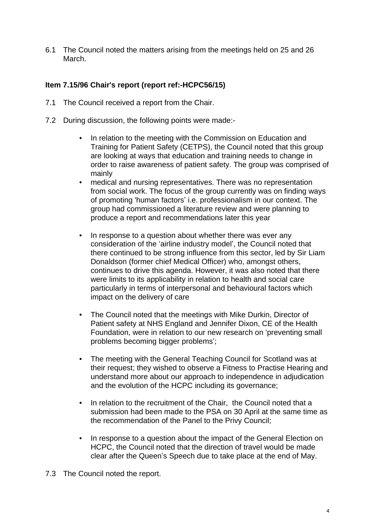6.1 The Council noted the matters arising from the meetings held on 25 and 26 March.

# **Item 7.15/96 Chair**'**s report (report ref:-HCPC56/15)**

- 7.1 The Council received a report from the Chair.
- 7.2 During discussion, the following points were made:-
	- In relation to the meeting with the Commission on Education and Training for Patient Safety (CETPS), the Council noted that this group are looking at ways that education and training needs to change in order to raise awareness of patient safety. The group was comprised of mainly
	- medical and nursing representatives. There was no representation from social work. The focus of the group currently was on finding ways of promoting 'human factors' i.e. professionalism in our context. The group had commissioned a literature review and were planning to produce a report and recommendations later this year
	- In response to a question about whether there was ever any consideration of the 'airline industry model', the Council noted that there continued to be strong influence from this sector, led by Sir Liam Donaldson (former chief Medical Officer) who, amongst others, continues to drive this agenda. However, it was also noted that there were limits to its applicability in relation to health and social care particularly in terms of interpersonal and behavioural factors which impact on the delivery of care
	- The Council noted that the meetings with Mike Durkin, Director of Patient safety at NHS England and Jennifer Dixon, CE of the Health Foundation, were in relation to our new research on 'preventing small problems becoming bigger problems';
	- The meeting with the General Teaching Council for Scotland was at their request; they wished to observe a Fitness to Practise Hearing and understand more about our approach to independence in adjudication and the evolution of the HCPC including its governance;
	- In relation to the recruitment of the Chair, the Council noted that a submission had been made to the PSA on 30 April at the same time as the recommendation of the Panel to the Privy Council;
	- In response to a question about the impact of the General Election on HCPC, the Council noted that the direction of travel would be made clear after the Queen's Speech due to take place at the end of May.
- 7.3 The Council noted the report.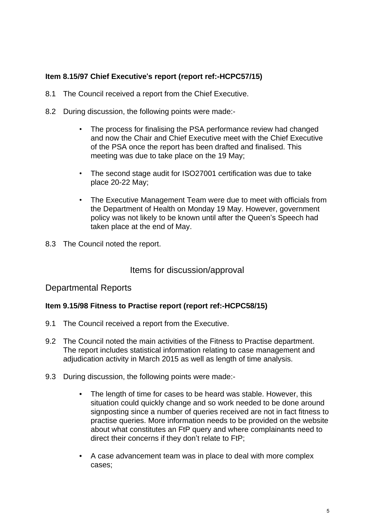# **Item 8.15/97 Chief Executive**'**s report (report ref:-HCPC57/15)**

- 8.1 The Council received a report from the Chief Executive.
- 8.2 During discussion, the following points were made:-
	- The process for finalising the PSA performance review had changed and now the Chair and Chief Executive meet with the Chief Executive of the PSA once the report has been drafted and finalised. This meeting was due to take place on the 19 May;
	- The second stage audit for ISO27001 certification was due to take place 20-22 May;
	- The Executive Management Team were due to meet with officials from the Department of Health on Monday 19 May. However, government policy was not likely to be known until after the Queen's Speech had taken place at the end of May.
- 8.3 The Council noted the report.

# Items for discussion/approval

# Departmental Reports

# **Item 9.15/98 Fitness to Practise report (report ref:-HCPC58/15)**

- 9.1 The Council received a report from the Executive.
- 9.2 The Council noted the main activities of the Fitness to Practise department. The report includes statistical information relating to case management and adjudication activity in March 2015 as well as length of time analysis.
- 9.3 During discussion, the following points were made:-
	- The length of time for cases to be heard was stable. However, this situation could quickly change and so work needed to be done around signposting since a number of queries received are not in fact fitness to practise queries. More information needs to be provided on the website about what constitutes an FtP query and where complainants need to direct their concerns if they don't relate to FtP;
	- A case advancement team was in place to deal with more complex cases;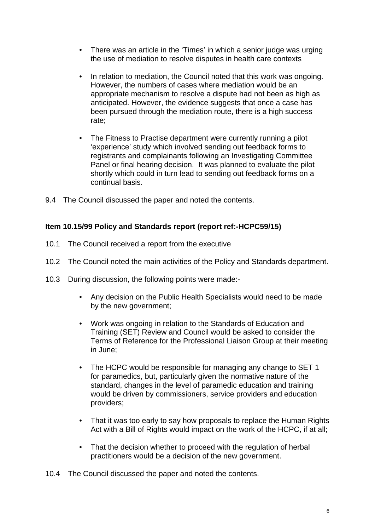- There was an article in the 'Times' in which a senior judge was urging the use of mediation to resolve disputes in health care contexts
- In relation to mediation, the Council noted that this work was ongoing. However, the numbers of cases where mediation would be an appropriate mechanism to resolve a dispute had not been as high as anticipated. However, the evidence suggests that once a case has been pursued through the mediation route, there is a high success rate;
- The Fitness to Practise department were currently running a pilot 'experience' study which involved sending out feedback forms to registrants and complainants following an Investigating Committee Panel or final hearing decision. It was planned to evaluate the pilot shortly which could in turn lead to sending out feedback forms on a continual basis.
- 9.4 The Council discussed the paper and noted the contents.

# **Item 10.15/99 Policy and Standards report (report ref:-HCPC59/15)**

- 10.1 The Council received a report from the executive
- 10.2 The Council noted the main activities of the Policy and Standards department.
- 10.3 During discussion, the following points were made:-
	- Any decision on the Public Health Specialists would need to be made by the new government;
	- Work was ongoing in relation to the Standards of Education and Training (SET) Review and Council would be asked to consider the Terms of Reference for the Professional Liaison Group at their meeting in June;
	- The HCPC would be responsible for managing any change to SET 1 for paramedics, but, particularly given the normative nature of the standard, changes in the level of paramedic education and training would be driven by commissioners, service providers and education providers;
	- That it was too early to say how proposals to replace the Human Rights Act with a Bill of Rights would impact on the work of the HCPC, if at all;
	- That the decision whether to proceed with the regulation of herbal practitioners would be a decision of the new government.
- 10.4 The Council discussed the paper and noted the contents.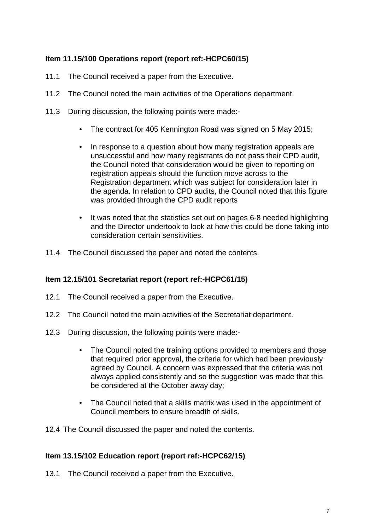# **Item 11.15/100 Operations report (report ref:-HCPC60/15)**

- 11.1 The Council received a paper from the Executive.
- 11.2 The Council noted the main activities of the Operations department.
- 11.3 During discussion, the following points were made:-
	- The contract for 405 Kennington Road was signed on 5 May 2015;
	- In response to a question about how many registration appeals are unsuccessful and how many registrants do not pass their CPD audit, the Council noted that consideration would be given to reporting on registration appeals should the function move across to the Registration department which was subject for consideration later in the agenda. In relation to CPD audits, the Council noted that this figure was provided through the CPD audit reports
	- It was noted that the statistics set out on pages 6-8 needed highlighting and the Director undertook to look at how this could be done taking into consideration certain sensitivities.
- 11.4 The Council discussed the paper and noted the contents.

# **Item 12.15/101 Secretariat report (report ref:-HCPC61/15)**

- 12.1 The Council received a paper from the Executive.
- 12.2 The Council noted the main activities of the Secretariat department.
- 12.3 During discussion, the following points were made:-
	- The Council noted the training options provided to members and those that required prior approval, the criteria for which had been previously agreed by Council. A concern was expressed that the criteria was not always applied consistently and so the suggestion was made that this be considered at the October away day;
	- The Council noted that a skills matrix was used in the appointment of Council members to ensure breadth of skills.
- 12.4 The Council discussed the paper and noted the contents.

### **Item 13.15/102 Education report (report ref:-HCPC62/15)**

13.1 The Council received a paper from the Executive.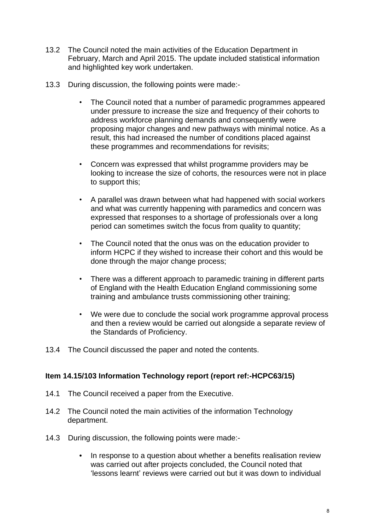- 13.2 The Council noted the main activities of the Education Department in February, March and April 2015. The update included statistical information and highlighted key work undertaken.
- 13.3 During discussion, the following points were made:-
	- The Council noted that a number of paramedic programmes appeared under pressure to increase the size and frequency of their cohorts to address workforce planning demands and consequently were proposing major changes and new pathways with minimal notice. As a result, this had increased the number of conditions placed against these programmes and recommendations for revisits;
	- Concern was expressed that whilst programme providers may be looking to increase the size of cohorts, the resources were not in place to support this;
	- A parallel was drawn between what had happened with social workers and what was currently happening with paramedics and concern was expressed that responses to a shortage of professionals over a long period can sometimes switch the focus from quality to quantity;
	- The Council noted that the onus was on the education provider to inform HCPC if they wished to increase their cohort and this would be done through the major change process;
	- There was a different approach to paramedic training in different parts of England with the Health Education England commissioning some training and ambulance trusts commissioning other training;
	- We were due to conclude the social work programme approval process and then a review would be carried out alongside a separate review of the Standards of Proficiency.
- 13.4 The Council discussed the paper and noted the contents.

# **Item 14.15/103 Information Technology report (report ref:-HCPC63/15)**

- 14.1 The Council received a paper from the Executive.
- 14.2 The Council noted the main activities of the information Technology department.
- 14.3 During discussion, the following points were made:-
	- In response to a question about whether a benefits realisation review was carried out after projects concluded, the Council noted that 'lessons learnt' reviews were carried out but it was down to individual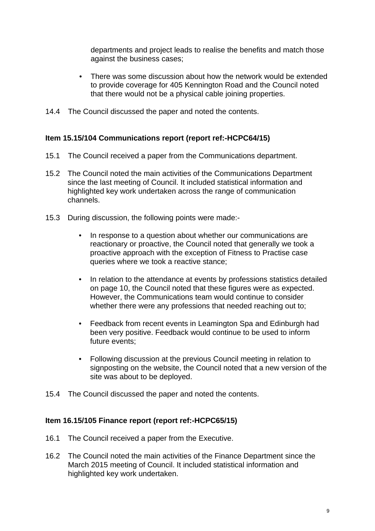departments and project leads to realise the benefits and match those against the business cases;

- There was some discussion about how the network would be extended to provide coverage for 405 Kennington Road and the Council noted that there would not be a physical cable joining properties.
- 14.4 The Council discussed the paper and noted the contents.

# **Item 15.15/104 Communications report (report ref:-HCPC64/15)**

- 15.1 The Council received a paper from the Communications department.
- 15.2 The Council noted the main activities of the Communications Department since the last meeting of Council. It included statistical information and highlighted key work undertaken across the range of communication channels.
- 15.3 During discussion, the following points were made:-
	- In response to a question about whether our communications are reactionary or proactive, the Council noted that generally we took a proactive approach with the exception of Fitness to Practise case queries where we took a reactive stance;
	- In relation to the attendance at events by professions statistics detailed on page 10, the Council noted that these figures were as expected. However, the Communications team would continue to consider whether there were any professions that needed reaching out to;
	- Feedback from recent events in Leamington Spa and Edinburgh had been very positive. Feedback would continue to be used to inform future events;
	- Following discussion at the previous Council meeting in relation to signposting on the website, the Council noted that a new version of the site was about to be deployed.
- 15.4 The Council discussed the paper and noted the contents.

### **Item 16.15/105 Finance report (report ref:-HCPC65/15)**

- 16.1 The Council received a paper from the Executive.
- 16.2 The Council noted the main activities of the Finance Department since the March 2015 meeting of Council. It included statistical information and highlighted key work undertaken.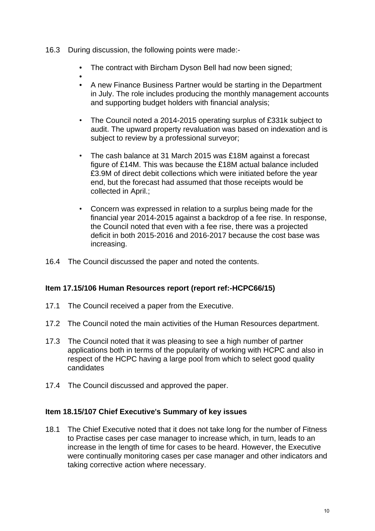- 16.3 During discussion, the following points were made:-
	- The contract with Bircham Dyson Bell had now been signed:
	- • A new Finance Business Partner would be starting in the Department in July. The role includes producing the monthly management accounts and supporting budget holders with financial analysis;
	- The Council noted a 2014-2015 operating surplus of £331k subject to audit. The upward property revaluation was based on indexation and is subject to review by a professional surveyor;
	- The cash balance at 31 March 2015 was £18M against a forecast figure of £14M. This was because the £18M actual balance included £3.9M of direct debit collections which were initiated before the year end, but the forecast had assumed that those receipts would be collected in April.;
	- Concern was expressed in relation to a surplus being made for the financial year 2014-2015 against a backdrop of a fee rise. In response, the Council noted that even with a fee rise, there was a projected deficit in both 2015-2016 and 2016-2017 because the cost base was increasing.
- 16.4 The Council discussed the paper and noted the contents.

### **Item 17.15/106 Human Resources report (report ref:-HCPC66/15)**

- 17.1 The Council received a paper from the Executive.
- 17.2 The Council noted the main activities of the Human Resources department.
- 17.3 The Council noted that it was pleasing to see a high number of partner applications both in terms of the popularity of working with HCPC and also in respect of the HCPC having a large pool from which to select good quality candidates
- 17.4 The Council discussed and approved the paper.

### **Item 18.15/107 Chief Executive**'**s Summary of key issues**

18.1 The Chief Executive noted that it does not take long for the number of Fitness to Practise cases per case manager to increase which, in turn, leads to an increase in the length of time for cases to be heard. However, the Executive were continually monitoring cases per case manager and other indicators and taking corrective action where necessary.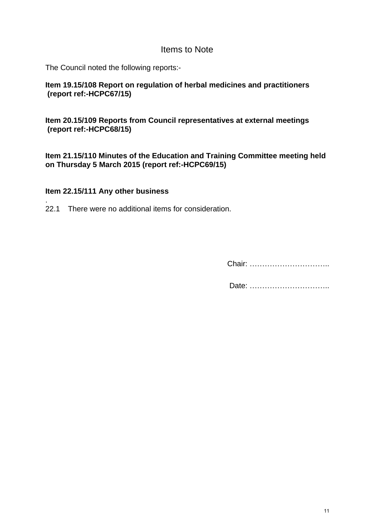# Items to Note

The Council noted the following reports:-

**Item 19.15/108 Report on regulation of herbal medicines and practitioners (report ref:-HCPC67/15)** 

**Item 20.15/109 Reports from Council representatives at external meetings (report ref:-HCPC68/15)** 

**Item 21.15/110 Minutes of the Education and Training Committee meeting held on Thursday 5 March 2015 (report ref:-HCPC69/15)** 

### **Item 22.15/111 Any other business**

. 22.1 There were no additional items for consideration.

Chair: …………………………..

Date: …………………………..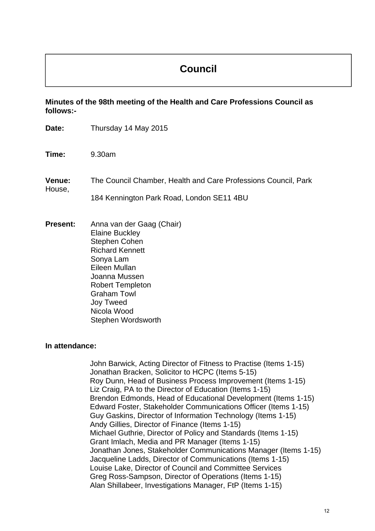# **Council**

**Minutes of the 98th meeting of the Health and Care Professions Council as follows:-** 

| Date:            | Thursday 14 May 2015                                                                                                                                                                                                                                          |
|------------------|---------------------------------------------------------------------------------------------------------------------------------------------------------------------------------------------------------------------------------------------------------------|
| Time:            | 9.30am                                                                                                                                                                                                                                                        |
| Venue:<br>House, | The Council Chamber, Health and Care Professions Council, Park<br>184 Kennington Park Road, London SE11 4BU                                                                                                                                                   |
| <b>Present:</b>  | Anna van der Gaag (Chair)<br><b>Elaine Buckley</b><br><b>Stephen Cohen</b><br><b>Richard Kennett</b><br>Sonya Lam<br>Eileen Mullan<br>Joanna Mussen<br><b>Robert Templeton</b><br><b>Graham Towl</b><br><b>Joy Tweed</b><br>Nicola Wood<br>Stephen Wordsworth |
| In attendance:   |                                                                                                                                                                                                                                                               |
|                  | John Barwick, Acting Director of Fitness to Practise (Items 1-15)<br>Jonathan Bracken, Solicitor to HCPC (Items 5-15)                                                                                                                                         |

Roy Dunn, Head of Business Process Improvement (Items 1-15) Liz Craig, PA to the Director of Education (Items 1-15) Brendon Edmonds, Head of Educational Development (Items 1-15) Edward Foster, Stakeholder Communications Officer (Items 1-15) Guy Gaskins, Director of Information Technology (Items 1-15) Andy Gillies, Director of Finance (Items 1-15) Michael Guthrie, Director of Policy and Standards (Items 1-15) Grant Imlach, Media and PR Manager (Items 1-15) Jonathan Jones, Stakeholder Communications Manager (Items 1-15) Jacqueline Ladds, Director of Communications (Items 1-15) Louise Lake, Director of Council and Committee Services Greg Ross-Sampson, Director of Operations (Items 1-15) Alan Shillabeer, Investigations Manager, FtP (Items 1-15)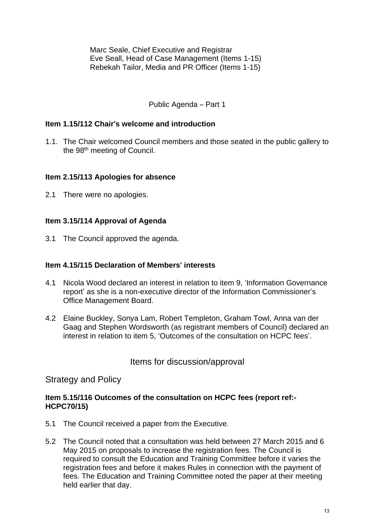Marc Seale, Chief Executive and Registrar Eve Seall, Head of Case Management (Items 1-15) Rebekah Tailor, Media and PR Officer (Items 1-15)

### Public Agenda – Part 1

### **Item 1.15/112 Chair**'**s welcome and introduction**

1.1. The Chair welcomed Council members and those seated in the public gallery to the 98th meeting of Council.

### **Item 2.15/113 Apologies for absence**

2.1 There were no apologies.

### **Item 3.15/114 Approval of Agenda**

3.1 The Council approved the agenda.

### **Item 4.15/115 Declaration of Members**' **interests**

- 4.1 Nicola Wood declared an interest in relation to item 9, 'Information Governance report' as she is a non-executive director of the Information Commissioner's Office Management Board.
- 4.2 Elaine Buckley, Sonya Lam, Robert Templeton, Graham Towl, Anna van der Gaag and Stephen Wordsworth (as registrant members of Council) declared an interest in relation to item 5, 'Outcomes of the consultation on HCPC fees'.

# Items for discussion/approval

# Strategy and Policy

### **Item 5.15/116 Outcomes of the consultation on HCPC fees (report ref:- HCPC70/15)**

- 5.1 The Council received a paper from the Executive.
- 5.2 The Council noted that a consultation was held between 27 March 2015 and 6 May 2015 on proposals to increase the registration fees. The Council is required to consult the Education and Training Committee before it varies the registration fees and before it makes Rules in connection with the payment of fees. The Education and Training Committee noted the paper at their meeting held earlier that day.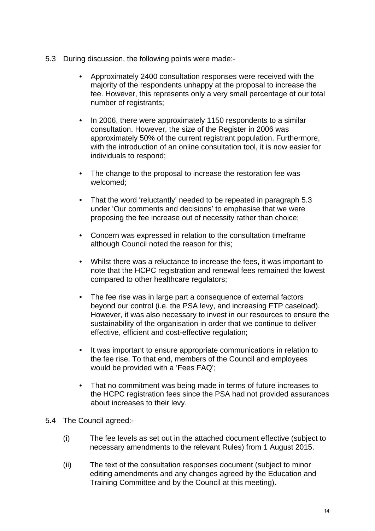- 5.3 During discussion, the following points were made:-
	- Approximately 2400 consultation responses were received with the majority of the respondents unhappy at the proposal to increase the fee. However, this represents only a very small percentage of our total number of registrants;
	- In 2006, there were approximately 1150 respondents to a similar consultation. However, the size of the Register in 2006 was approximately 50% of the current registrant population. Furthermore, with the introduction of an online consultation tool, it is now easier for individuals to respond;
	- The change to the proposal to increase the restoration fee was welcomed;
	- That the word 'reluctantly' needed to be repeated in paragraph 5.3 under 'Our comments and decisions' to emphasise that we were proposing the fee increase out of necessity rather than choice;
	- Concern was expressed in relation to the consultation timeframe although Council noted the reason for this;
	- Whilst there was a reluctance to increase the fees, it was important to note that the HCPC registration and renewal fees remained the lowest compared to other healthcare regulators;
	- The fee rise was in large part a consequence of external factors beyond our control (i.e. the PSA levy, and increasing FTP caseload). However, it was also necessary to invest in our resources to ensure the sustainability of the organisation in order that we continue to deliver effective, efficient and cost-effective regulation;
	- It was important to ensure appropriate communications in relation to the fee rise. To that end, members of the Council and employees would be provided with a 'Fees FAQ';
	- That no commitment was being made in terms of future increases to the HCPC registration fees since the PSA had not provided assurances about increases to their levy.
- 5.4 The Council agreed:-
	- (i) The fee levels as set out in the attached document effective (subject to necessary amendments to the relevant Rules) from 1 August 2015.
	- (ii) The text of the consultation responses document (subject to minor editing amendments and any changes agreed by the Education and Training Committee and by the Council at this meeting).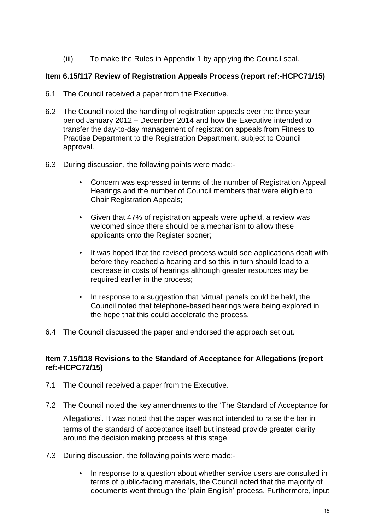(iii) To make the Rules in Appendix 1 by applying the Council seal.

### **Item 6.15/117 Review of Registration Appeals Process (report ref:-HCPC71/15)**

- 6.1 The Council received a paper from the Executive.
- 6.2 The Council noted the handling of registration appeals over the three year period January 2012 – December 2014 and how the Executive intended to transfer the day-to-day management of registration appeals from Fitness to Practise Department to the Registration Department, subject to Council approval.
- 6.3 During discussion, the following points were made:-
	- Concern was expressed in terms of the number of Registration Appeal Hearings and the number of Council members that were eligible to Chair Registration Appeals;
	- Given that 47% of registration appeals were upheld, a review was welcomed since there should be a mechanism to allow these applicants onto the Register sooner;
	- It was hoped that the revised process would see applications dealt with before they reached a hearing and so this in turn should lead to a decrease in costs of hearings although greater resources may be required earlier in the process;
	- In response to a suggestion that 'virtual' panels could be held, the Council noted that telephone-based hearings were being explored in the hope that this could accelerate the process.
- 6.4 The Council discussed the paper and endorsed the approach set out.

### **Item 7.15/118 Revisions to the Standard of Acceptance for Allegations (report ref:-HCPC72/15)**

- 7.1 The Council received a paper from the Executive.
- 7.2 The Council noted the key amendments to the 'The Standard of Acceptance for

Allegations'. It was noted that the paper was not intended to raise the bar in terms of the standard of acceptance itself but instead provide greater clarity around the decision making process at this stage.

- 7.3 During discussion, the following points were made:-
	- In response to a question about whether service users are consulted in terms of public-facing materials, the Council noted that the majority of documents went through the 'plain English' process. Furthermore, input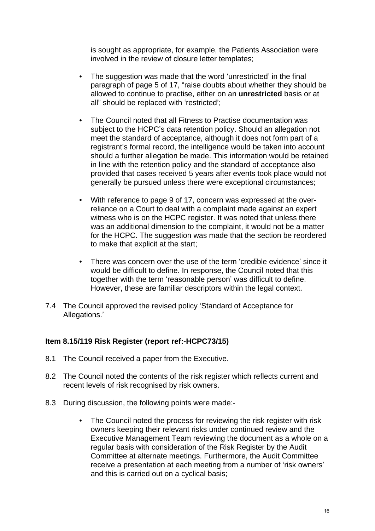is sought as appropriate, for example, the Patients Association were involved in the review of closure letter templates;

- The suggestion was made that the word 'unrestricted' in the final paragraph of page 5 of 17, "raise doubts about whether they should be allowed to continue to practise, either on an **unrestricted** basis or at all" should be replaced with 'restricted';
- The Council noted that all Fitness to Practise documentation was subject to the HCPC's data retention policy. Should an allegation not meet the standard of acceptance, although it does not form part of a registrant's formal record, the intelligence would be taken into account should a further allegation be made. This information would be retained in line with the retention policy and the standard of acceptance also provided that cases received 5 years after events took place would not generally be pursued unless there were exceptional circumstances;
- With reference to page 9 of 17, concern was expressed at the overreliance on a Court to deal with a complaint made against an expert witness who is on the HCPC register. It was noted that unless there was an additional dimension to the complaint, it would not be a matter for the HCPC. The suggestion was made that the section be reordered to make that explicit at the start;
- There was concern over the use of the term 'credible evidence' since it would be difficult to define. In response, the Council noted that this together with the term 'reasonable person' was difficult to define. However, these are familiar descriptors within the legal context.
- 7.4 The Council approved the revised policy 'Standard of Acceptance for Allegations.'

# **Item 8.15/119 Risk Register (report ref:-HCPC73/15)**

- 8.1 The Council received a paper from the Executive.
- 8.2 The Council noted the contents of the risk register which reflects current and recent levels of risk recognised by risk owners.
- 8.3 During discussion, the following points were made:-
	- The Council noted the process for reviewing the risk register with risk owners keeping their relevant risks under continued review and the Executive Management Team reviewing the document as a whole on a regular basis with consideration of the Risk Register by the Audit Committee at alternate meetings. Furthermore, the Audit Committee receive a presentation at each meeting from a number of 'risk owners' and this is carried out on a cyclical basis;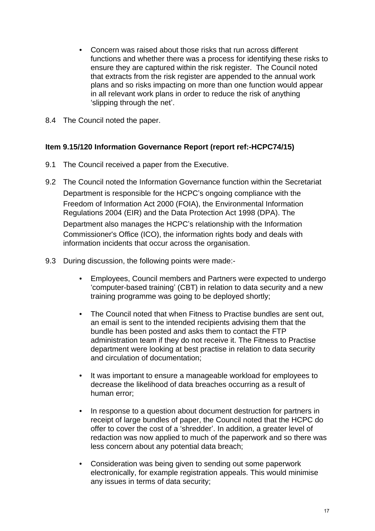- Concern was raised about those risks that run across different functions and whether there was a process for identifying these risks to ensure they are captured within the risk register. The Council noted that extracts from the risk register are appended to the annual work plans and so risks impacting on more than one function would appear in all relevant work plans in order to reduce the risk of anything 'slipping through the net'.
- 8.4 The Council noted the paper.

### **Item 9.15/120 Information Governance Report (report ref:-HCPC74/15)**

- 9.1 The Council received a paper from the Executive.
- 9.2 The Council noted the Information Governance function within the Secretariat Department is responsible for the HCPC's ongoing compliance with the Freedom of Information Act 2000 (FOIA), the Environmental Information Regulations 2004 (EIR) and the Data Protection Act 1998 (DPA). The Department also manages the HCPC's relationship with the Information Commissioner's Office (ICO), the information rights body and deals with information incidents that occur across the organisation.
- 9.3 During discussion, the following points were made:-
	- Employees, Council members and Partners were expected to undergo 'computer-based training' (CBT) in relation to data security and a new training programme was going to be deployed shortly;
	- The Council noted that when Fitness to Practise bundles are sent out, an email is sent to the intended recipients advising them that the bundle has been posted and asks them to contact the FTP administration team if they do not receive it. The Fitness to Practise department were looking at best practise in relation to data security and circulation of documentation;
	- It was important to ensure a manageable workload for employees to decrease the likelihood of data breaches occurring as a result of human error;
	- In response to a question about document destruction for partners in receipt of large bundles of paper, the Council noted that the HCPC do offer to cover the cost of a 'shredder'. In addition, a greater level of redaction was now applied to much of the paperwork and so there was less concern about any potential data breach;
	- Consideration was being given to sending out some paperwork electronically, for example registration appeals. This would minimise any issues in terms of data security;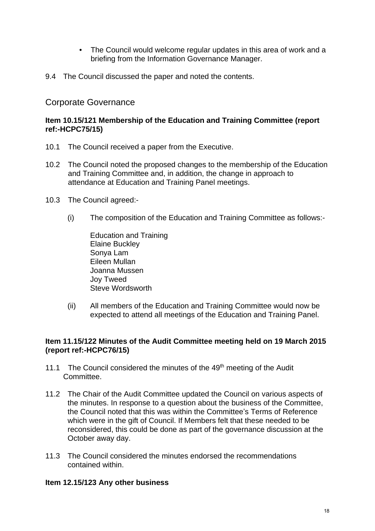- The Council would welcome regular updates in this area of work and a briefing from the Information Governance Manager.
- 9.4 The Council discussed the paper and noted the contents.

# Corporate Governance

### **Item 10.15/121 Membership of the Education and Training Committee (report ref:-HCPC75/15)**

- 10.1 The Council received a paper from the Executive.
- 10.2 The Council noted the proposed changes to the membership of the Education and Training Committee and, in addition, the change in approach to attendance at Education and Training Panel meetings.
- 10.3 The Council agreed:-
	- (i) The composition of the Education and Training Committee as follows:-

Education and Training Elaine Buckley Sonya Lam Eileen Mullan Joanna Mussen Joy Tweed Steve Wordsworth

(ii) All members of the Education and Training Committee would now be expected to attend all meetings of the Education and Training Panel.

### **Item 11.15/122 Minutes of the Audit Committee meeting held on 19 March 2015 (report ref:-HCPC76/15)**

- 11.1 The Council considered the minutes of the 49<sup>th</sup> meeting of the Audit Committee.
- 11.2 The Chair of the Audit Committee updated the Council on various aspects of the minutes. In response to a question about the business of the Committee, the Council noted that this was within the Committee's Terms of Reference which were in the gift of Council. If Members felt that these needed to be reconsidered, this could be done as part of the governance discussion at the October away day.
- 11.3 The Council considered the minutes endorsed the recommendations contained within.

# **Item 12.15/123 Any other business**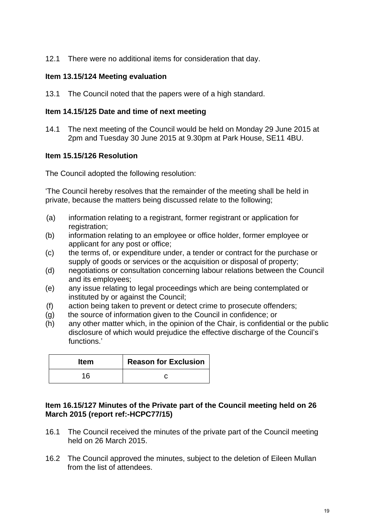12.1 There were no additional items for consideration that day.

### **Item 13.15/124 Meeting evaluation**

13.1 The Council noted that the papers were of a high standard.

### **Item 14.15/125 Date and time of next meeting**

14.1 The next meeting of the Council would be held on Monday 29 June 2015 at 2pm and Tuesday 30 June 2015 at 9.30pm at Park House, SE11 4BU.

#### **Item 15.15/126 Resolution**

The Council adopted the following resolution:

'The Council hereby resolves that the remainder of the meeting shall be held in private, because the matters being discussed relate to the following;

- (a) information relating to a registrant, former registrant or application for registration:
- (b) information relating to an employee or office holder, former employee or applicant for any post or office;
- (c) the terms of, or expenditure under, a tender or contract for the purchase or supply of goods or services or the acquisition or disposal of property;
- (d) negotiations or consultation concerning labour relations between the Council and its employees;
- (e) any issue relating to legal proceedings which are being contemplated or instituted by or against the Council;
- (f) action being taken to prevent or detect crime to prosecute offenders;
- (g) the source of information given to the Council in confidence; or
- (h) any other matter which, in the opinion of the Chair, is confidential or the public disclosure of which would prejudice the effective discharge of the Council's functions.'

| <b>Item</b> | <b>Reason for Exclusion</b> |
|-------------|-----------------------------|
| 16          |                             |

### **Item 16.15/127 Minutes of the Private part of the Council meeting held on 26 March 2015 (report ref:-HCPC77/15)**

- 16.1 The Council received the minutes of the private part of the Council meeting held on 26 March 2015.
- 16.2 The Council approved the minutes, subject to the deletion of Eileen Mullan from the list of attendees.